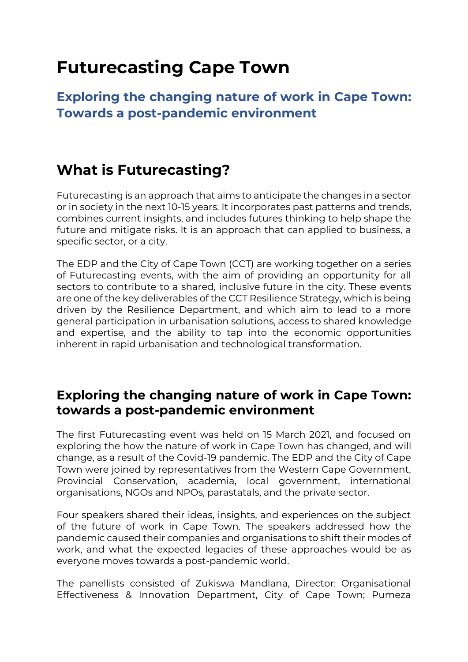# **Futurecasting Cape Town**

**Exploring the changing nature of work in Cape Town: Towards a post-pandemic environment**

## **What is Futurecasting?**

Futurecasting is an approach that aims to anticipate the changes in a sector or in society in the next 10-15 years. It incorporates past patterns and trends, combines current insights, and includes futures thinking to help shape the future and mitigate risks. It is an approach that can applied to business, a specific sector, or a city.

The EDP and the City of Cape Town (CCT) are working together on a series of Futurecasting events, with the aim of providing an opportunity for all sectors to contribute to a shared, inclusive future in the city. These events are one of the key deliverables of the CCT Resilience Strategy, which is being driven by the Resilience Department, and which aim to lead to a more general participation in urbanisation solutions, access to shared knowledge and expertise, and the ability to tap into the economic opportunities inherent in rapid urbanisation and technological transformation.

#### **Exploring the changing nature of work in Cape Town: towards a post-pandemic environment**

The first Futurecasting event was held on 15 March 2021, and focused on exploring the how the nature of work in Cape Town has changed, and will change, as a result of the Covid-19 pandemic. The EDP and the City of Cape Town were joined by representatives from the Western Cape Government, Provincial Conservation, academia, local government, international organisations, NGOs and NPOs, parastatals, and the private sector.

Four speakers shared their ideas, insights, and experiences on the subject of the future of work in Cape Town. The speakers addressed how the pandemic caused their companies and organisations to shift their modes of work, and what the expected legacies of these approaches would be as everyone moves towards a post-pandemic world.

The panellists consisted of Zukiswa Mandlana, Director: Organisational Effectiveness & Innovation Department, City of Cape Town; Pumeza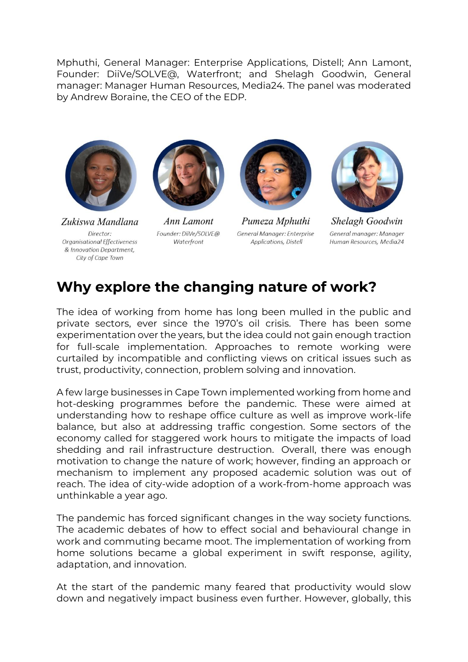Mphuthi, General Manager: Enterprise Applications, Distell; Ann Lamont, Founder: DiiVe/SOLVE@, Waterfront; and Shelagh Goodwin, General manager: Manager Human Resources, Media24. The panel was moderated by Andrew Boraine, the CEO of the EDP.



Zukiswa Mandlana Director: Organisational Effectiveness & Innovation Department, City of Cape Town



Ann Lamont Founder: DiiVe/SOLVE@ Waterfront



Pumeza Mphuthi General Manager: Enterprise Applications, Distell



Shelagh Goodwin General manager: Manager Human Resources, Media24

## **Why explore the changing nature of work?**

The idea of working from home has long been mulled in the public and private sectors, ever since the 1970's oil crisis. There has been some experimentation over the years, but the idea could not gain enough traction for full-scale implementation. Approaches to remote working were curtailed by incompatible and conflicting views on critical issues such as trust, productivity, connection, problem solving and innovation.

A few large businesses in Cape Town implemented working from home and hot-desking programmes before the pandemic. These were aimed at understanding how to reshape office culture as well as improve work-life balance, but also at addressing traffic congestion. Some sectors of the economy called for staggered work hours to mitigate the impacts of load shedding and rail infrastructure destruction. Overall, there was enough motivation to change the nature of work; however, finding an approach or mechanism to implement any proposed academic solution was out of reach. The idea of city-wide adoption of a work-from-home approach was unthinkable a year ago.

The pandemic has forced significant changes in the way society functions. The academic debates of how to effect social and behavioural change in work and commuting became moot. The implementation of working from home solutions became a global experiment in swift response, agility, adaptation, and innovation.

At the start of the pandemic many feared that productivity would slow down and negatively impact business even further. However, globally, this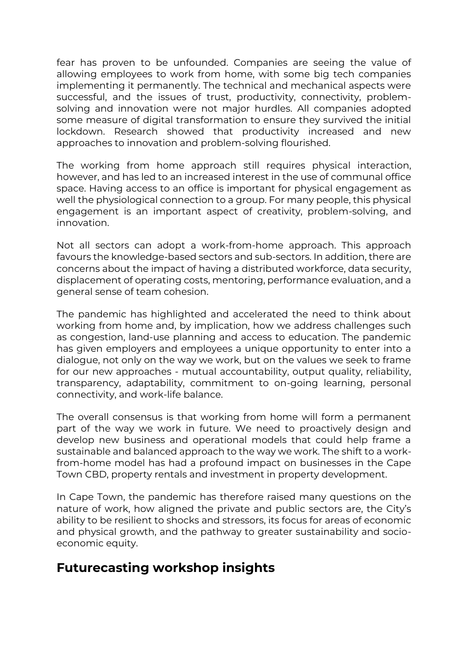fear has proven to be unfounded. Companies are seeing the value of allowing employees to work from home, with some big tech companies implementing it permanently. The technical and mechanical aspects were successful, and the issues of trust, productivity, connectivity, problemsolving and innovation were not major hurdles. All companies adopted some measure of digital transformation to ensure they survived the initial lockdown. Research showed that productivity increased and new approaches to innovation and problem-solving flourished.

The working from home approach still requires physical interaction, however, and has led to an increased interest in the use of communal office space. Having access to an office is important for physical engagement as well the physiological connection to a group. For many people, this physical engagement is an important aspect of creativity, problem-solving, and innovation.

Not all sectors can adopt a work-from-home approach. This approach favours the knowledge-based sectors and sub-sectors. In addition, there are concerns about the impact of having a distributed workforce, data security, displacement of operating costs, mentoring, performance evaluation, and a general sense of team cohesion.

The pandemic has highlighted and accelerated the need to think about working from home and, by implication, how we address challenges such as congestion, land-use planning and access to education. The pandemic has given employers and employees a unique opportunity to enter into a dialogue, not only on the way we work, but on the values we seek to frame for our new approaches - mutual accountability, output quality, reliability, transparency, adaptability, commitment to on-going learning, personal connectivity, and work-life balance.

The overall consensus is that working from home will form a permanent part of the way we work in future. We need to proactively design and develop new business and operational models that could help frame a sustainable and balanced approach to the way we work. The shift to a workfrom-home model has had a profound impact on businesses in the Cape Town CBD, property rentals and investment in property development.

In Cape Town, the pandemic has therefore raised many questions on the nature of work, how aligned the private and public sectors are, the City's ability to be resilient to shocks and stressors, its focus for areas of economic and physical growth, and the pathway to greater sustainability and socioeconomic equity.

#### **Futurecasting workshop insights**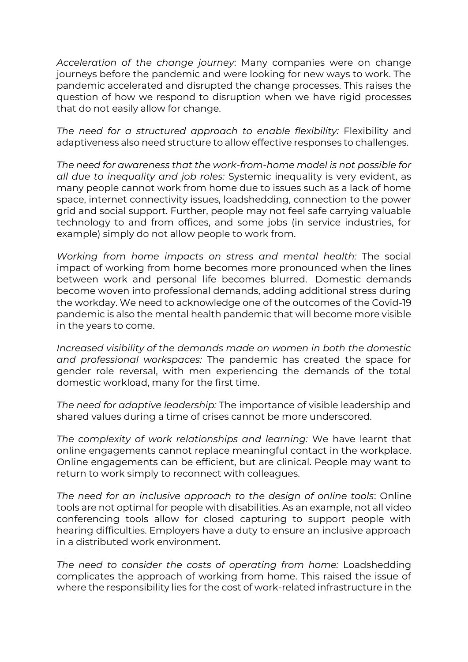*Acceleration of the change journey*: Many companies were on change journeys before the pandemic and were looking for new ways to work. The pandemic accelerated and disrupted the change processes. This raises the question of how we respond to disruption when we have rigid processes that do not easily allow for change.

*The need for a structured approach to enable flexibility:* Flexibility and adaptiveness also need structure to allow effective responses to challenges.

*The need for awareness that the work-from-home model is not possible for all due to inequality and job roles:* Systemic inequality is very evident, as many people cannot work from home due to issues such as a lack of home space, internet connectivity issues, loadshedding, connection to the power grid and social support. Further, people may not feel safe carrying valuable technology to and from offices, and some jobs (in service industries, for example) simply do not allow people to work from.

*Working from home impacts on stress and mental health:* The social impact of working from home becomes more pronounced when the lines between work and personal life becomes blurred. Domestic demands become woven into professional demands, adding additional stress during the workday. We need to acknowledge one of the outcomes of the Covid-19 pandemic is also the mental health pandemic that will become more visible in the years to come.

*Increased visibility of the demands made on women in both the domestic and professional workspaces:* The pandemic has created the space for gender role reversal, with men experiencing the demands of the total domestic workload, many for the first time.

*The need for adaptive leadership:* The importance of visible leadership and shared values during a time of crises cannot be more underscored.

*The complexity of work relationships and learning:* We have learnt that online engagements cannot replace meaningful contact in the workplace. Online engagements can be efficient, but are clinical. People may want to return to work simply to reconnect with colleagues.

*The need for an inclusive approach to the design of online tools*: Online tools are not optimal for people with disabilities. As an example, not all video conferencing tools allow for closed capturing to support people with hearing difficulties. Employers have a duty to ensure an inclusive approach in a distributed work environment.

*The need to consider the costs of operating from home:* Loadshedding complicates the approach of working from home. This raised the issue of where the responsibility lies for the cost of work-related infrastructure in the